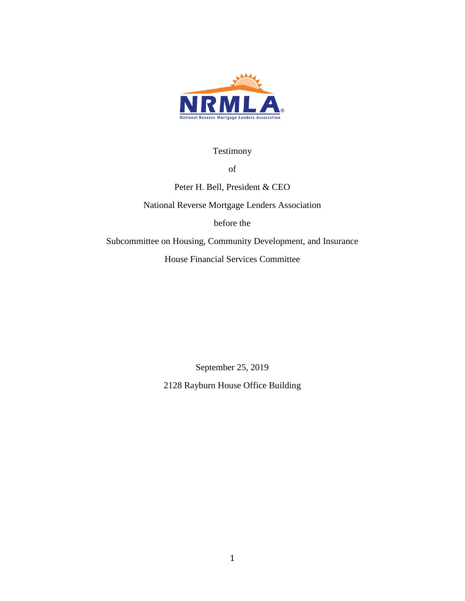

Testimony

of

Peter H. Bell, President & CEO

National Reverse Mortgage Lenders Association

before the

Subcommittee on Housing, Community Development, and Insurance

House Financial Services Committee

September 25, 2019

2128 Rayburn House Office Building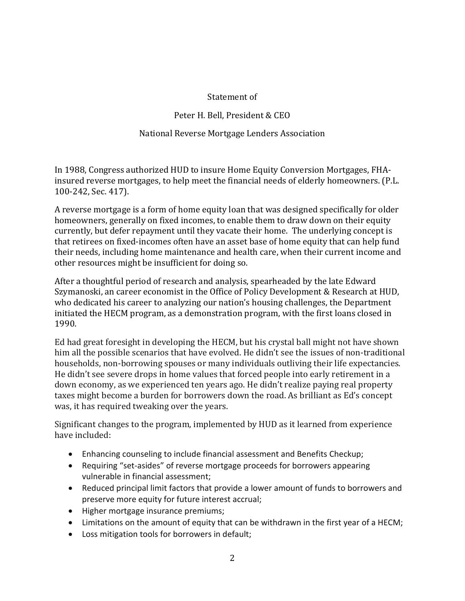### Statement of

# Peter H. Bell, President & CEO

## National Reverse Mortgage Lenders Association

In 1988, Congress authorized HUD to insure Home Equity Conversion Mortgages, FHAinsured reverse mortgages, to help meet the financial needs of elderly homeowners. (P.L. 100-242, Sec. 417).

A reverse mortgage is a form of home equity loan that was designed specifically for older homeowners, generally on fixed incomes, to enable them to draw down on their equity currently, but defer repayment until they vacate their home. The underlying concept is that retirees on fixed-incomes often have an asset base of home equity that can help fund their needs, including home maintenance and health care, when their current income and other resources might be insufficient for doing so.

After a thoughtful period of research and analysis, spearheaded by the late Edward Szymanoski, an career economist in the Office of Policy Development & Research at HUD, who dedicated his career to analyzing our nation's housing challenges, the Department initiated the HECM program, as a demonstration program, with the first loans closed in 1990.

Ed had great foresight in developing the HECM, but his crystal ball might not have shown him all the possible scenarios that have evolved. He didn't see the issues of non-traditional households, non-borrowing spouses or many individuals outliving their life expectancies. He didn't see severe drops in home values that forced people into early retirement in a down economy, as we experienced ten years ago. He didn't realize paying real property taxes might become a burden for borrowers down the road. As brilliant as Ed's concept was, it has required tweaking over the years.

Significant changes to the program, implemented by HUD as it learned from experience have included:

- Enhancing counseling to include financial assessment and Benefits Checkup;
- Requiring "set-asides" of reverse mortgage proceeds for borrowers appearing vulnerable in financial assessment;
- Reduced principal limit factors that provide a lower amount of funds to borrowers and preserve more equity for future interest accrual;
- Higher mortgage insurance premiums;
- Limitations on the amount of equity that can be withdrawn in the first year of a HECM;
- Loss mitigation tools for borrowers in default;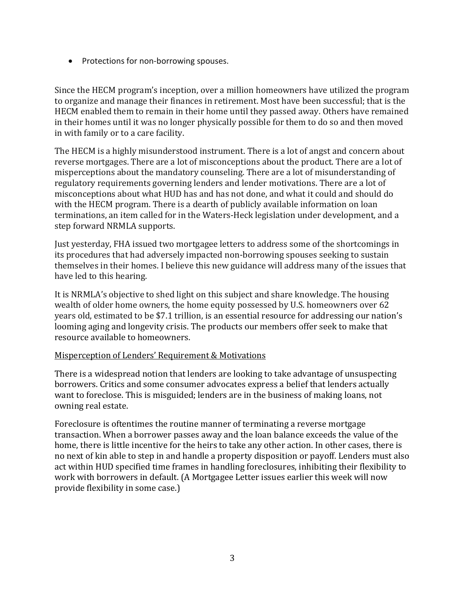• Protections for non-borrowing spouses.

Since the HECM program's inception, over a million homeowners have utilized the program to organize and manage their finances in retirement. Most have been successful; that is the HECM enabled them to remain in their home until they passed away. Others have remained in their homes until it was no longer physically possible for them to do so and then moved in with family or to a care facility.

The HECM is a highly misunderstood instrument. There is a lot of angst and concern about reverse mortgages. There are a lot of misconceptions about the product. There are a lot of misperceptions about the mandatory counseling. There are a lot of misunderstanding of regulatory requirements governing lenders and lender motivations. There are a lot of misconceptions about what HUD has and has not done, and what it could and should do with the HECM program. There is a dearth of publicly available information on loan terminations, an item called for in the Waters-Heck legislation under development, and a step forward NRMLA supports.

Just yesterday, FHA issued two mortgagee letters to address some of the shortcomings in its procedures that had adversely impacted non-borrowing spouses seeking to sustain themselves in their homes. I believe this new guidance will address many of the issues that have led to this hearing.

It is NRMLA's objective to shed light on this subject and share knowledge. The housing wealth of older home owners, the home equity possessed by U.S. homeowners over 62 years old, estimated to be \$7.1 trillion, is an essential resource for addressing our nation's looming aging and longevity crisis. The products our members offer seek to make that resource available to homeowners.

#### Misperception of Lenders' Requirement & Motivations

There is a widespread notion that lenders are looking to take advantage of unsuspecting borrowers. Critics and some consumer advocates express a belief that lenders actually want to foreclose. This is misguided; lenders are in the business of making loans, not owning real estate.

Foreclosure is oftentimes the routine manner of terminating a reverse mortgage transaction. When a borrower passes away and the loan balance exceeds the value of the home, there is little incentive for the heirs to take any other action. In other cases, there is no next of kin able to step in and handle a property disposition or payoff. Lenders must also act within HUD specified time frames in handling foreclosures, inhibiting their flexibility to work with borrowers in default. (A Mortgagee Letter issues earlier this week will now provide flexibility in some case.)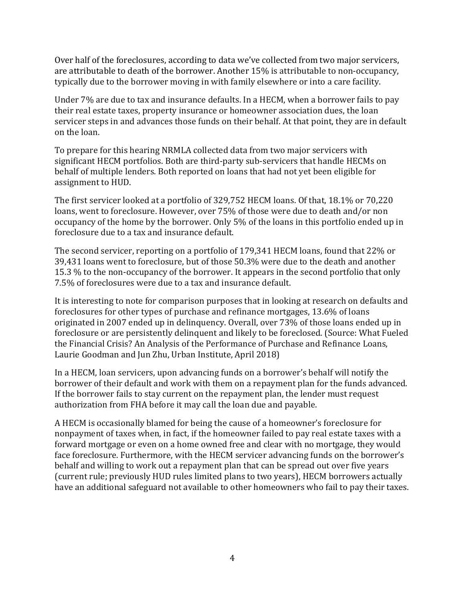Over half of the foreclosures, according to data we've collected from two major servicers, are attributable to death of the borrower. Another 15% is attributable to non-occupancy, typically due to the borrower moving in with family elsewhere or into a care facility.

Under 7% are due to tax and insurance defaults. In a HECM, when a borrower fails to pay their real estate taxes, property insurance or homeowner association dues, the loan servicer steps in and advances those funds on their behalf. At that point, they are in default on the loan.

To prepare for this hearing NRMLA collected data from two major servicers with significant HECM portfolios. Both are third-party sub-servicers that handle HECMs on behalf of multiple lenders. Both reported on loans that had not yet been eligible for assignment to HUD.

The first servicer looked at a portfolio of 329,752 HECM loans. Of that, 18.1% or 70,220 loans, went to foreclosure. However, over 75% of those were due to death and/or non occupancy of the home by the borrower. Only 5% of the loans in this portfolio ended up in foreclosure due to a tax and insurance default.

The second servicer, reporting on a portfolio of 179,341 HECM loans, found that 22% or 39,431 loans went to foreclosure, but of those 50.3% were due to the death and another 15.3 % to the non-occupancy of the borrower. It appears in the second portfolio that only 7.5% of foreclosures were due to a tax and insurance default.

It is interesting to note for comparison purposes that in looking at research on defaults and foreclosures for other types of purchase and refinance mortgages, 13.6% of loans originated in 2007 ended up in delinquency. Overall, over 73% of those loans ended up in foreclosure or are persistently delinquent and likely to be foreclosed. (Source: What Fueled the Financial Crisis? An Analysis of the Performance of Purchase and Refinance Loans, Laurie Goodman and Jun Zhu, Urban Institute, April 2018)

In a HECM, loan servicers, upon advancing funds on a borrower's behalf will notify the borrower of their default and work with them on a repayment plan for the funds advanced. If the borrower fails to stay current on the repayment plan, the lender must request authorization from FHA before it may call the loan due and payable.

A HECM is occasionally blamed for being the cause of a homeowner's foreclosure for nonpayment of taxes when, in fact, if the homeowner failed to pay real estate taxes with a forward mortgage or even on a home owned free and clear with no mortgage, they would face foreclosure. Furthermore, with the HECM servicer advancing funds on the borrower's behalf and willing to work out a repayment plan that can be spread out over five years (current rule; previously HUD rules limited plans to two years), HECM borrowers actually have an additional safeguard not available to other homeowners who fail to pay their taxes.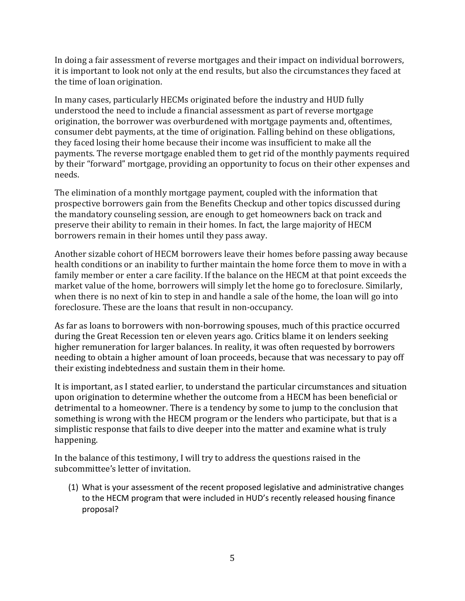In doing a fair assessment of reverse mortgages and their impact on individual borrowers, it is important to look not only at the end results, but also the circumstances they faced at the time of loan origination.

In many cases, particularly HECMs originated before the industry and HUD fully understood the need to include a financial assessment as part of reverse mortgage origination, the borrower was overburdened with mortgage payments and, oftentimes, consumer debt payments, at the time of origination. Falling behind on these obligations, they faced losing their home because their income was insufficient to make all the payments. The reverse mortgage enabled them to get rid of the monthly payments required by their "forward" mortgage, providing an opportunity to focus on their other expenses and needs.

The elimination of a monthly mortgage payment, coupled with the information that prospective borrowers gain from the Benefits Checkup and other topics discussed during the mandatory counseling session, are enough to get homeowners back on track and preserve their ability to remain in their homes. In fact, the large majority of HECM borrowers remain in their homes until they pass away.

Another sizable cohort of HECM borrowers leave their homes before passing away because health conditions or an inability to further maintain the home force them to move in with a family member or enter a care facility. If the balance on the HECM at that point exceeds the market value of the home, borrowers will simply let the home go to foreclosure. Similarly, when there is no next of kin to step in and handle a sale of the home, the loan will go into foreclosure. These are the loans that result in non-occupancy.

As far as loans to borrowers with non-borrowing spouses, much of this practice occurred during the Great Recession ten or eleven years ago. Critics blame it on lenders seeking higher remuneration for larger balances. In reality, it was often requested by borrowers needing to obtain a higher amount of loan proceeds, because that was necessary to pay off their existing indebtedness and sustain them in their home.

It is important, as I stated earlier, to understand the particular circumstances and situation upon origination to determine whether the outcome from a HECM has been beneficial or detrimental to a homeowner. There is a tendency by some to jump to the conclusion that something is wrong with the HECM program or the lenders who participate, but that is a simplistic response that fails to dive deeper into the matter and examine what is truly happening.

In the balance of this testimony, I will try to address the questions raised in the subcommittee's letter of invitation.

(1) What is your assessment of the recent proposed legislative and administrative changes to the HECM program that were included in HUD's recently released housing finance proposal?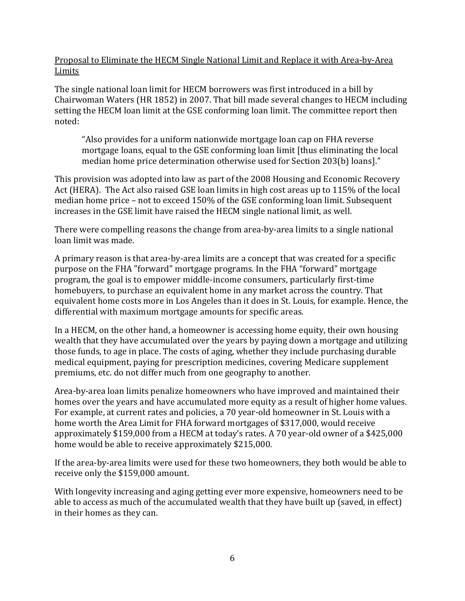Proposal to Eliminate the HECM Single National Limit and Replace it with Area-by-Area Limits

The single national loan limit for HECM borrowers was first introduced in a bill by Chairwoman Waters (HR 1852) in 2007. That bill made several changes to HECM including setting the HECM loan limit at the GSE conforming loan limit. The committee report then noted:

"Also provides for a uniform nationwide mortgage loan cap on FHA reverse mortgage loans, equal to the GSE conforming loan limit [thus eliminating the local median home price determination otherwise used for Section 203(b) loans]."

This provision was adopted into law as part of the 2008 Housing and Economic Recovery Act (HERA). The Act also raised GSE loan limits in high cost areas up to 115% of the local median home price – not to exceed 150% of the GSE conforming loan limit. Subsequent increases in the GSE limit have raised the HECM single national limit, as well.

There were compelling reasons the change from area-by-area limits to a single national loan limit was made.

A primary reason is that area-by-area limits are a concept that was created for a specific purpose on the FHA "forward" mortgage programs. In the FHA "forward" mortgage program, the goal is to empower middle-income consumers, particularly first-time homebuyers, to purchase an equivalent home in any market across the country. That equivalent home costs more in Los Angeles than it does in St. Louis, for example. Hence, the differential with maximum mortgage amounts for specific areas.

In a HECM, on the other hand, a homeowner is accessing home equity, their own housing wealth that they have accumulated over the years by paying down a mortgage and utilizing those funds, to age in place. The costs of aging, whether they include purchasing durable medical equipment, paying for prescription medicines, covering Medicare supplement premiums, etc. do not differ much from one geography to another.

Area-by-area loan limits penalize homeowners who have improved and maintained their homes over the years and have accumulated more equity as a result of higher home values. For example, at current rates and policies, a 70 year-old homeowner in St. Louis with a home worth the Area Limit for FHA forward mortgages of \$317,000, would receive approximately \$159,000 from a HECM at today's rates. A 70 year-old owner of a \$425,000 home would be able to receive approximately \$215,000.

If the area-by-area limits were used for these two homeowners, they both would be able to receive only the \$159,000 amount.

With longevity increasing and aging getting ever more expensive, homeowners need to be able to access as much of the accumulated wealth that they have built up (saved, in effect) in their homes as they can.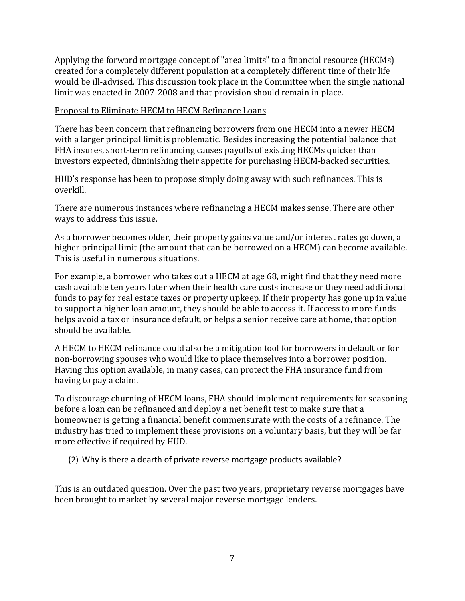Applying the forward mortgage concept of "area limits" to a financial resource (HECMs) created for a completely different population at a completely different time of their life would be ill-advised. This discussion took place in the Committee when the single national limit was enacted in 2007-2008 and that provision should remain in place.

#### Proposal to Eliminate HECM to HECM Refinance Loans

There has been concern that refinancing borrowers from one HECM into a newer HECM with a larger principal limit is problematic. Besides increasing the potential balance that FHA insures, short-term refinancing causes payoffs of existing HECMs quicker than investors expected, diminishing their appetite for purchasing HECM-backed securities.

HUD's response has been to propose simply doing away with such refinances. This is overkill.

There are numerous instances where refinancing a HECM makes sense. There are other ways to address this issue.

As a borrower becomes older, their property gains value and/or interest rates go down, a higher principal limit (the amount that can be borrowed on a HECM) can become available. This is useful in numerous situations.

For example, a borrower who takes out a HECM at age 68, might find that they need more cash available ten years later when their health care costs increase or they need additional funds to pay for real estate taxes or property upkeep. If their property has gone up in value to support a higher loan amount, they should be able to access it. If access to more funds helps avoid a tax or insurance default, or helps a senior receive care at home, that option should be available.

A HECM to HECM refinance could also be a mitigation tool for borrowers in default or for non-borrowing spouses who would like to place themselves into a borrower position. Having this option available, in many cases, can protect the FHA insurance fund from having to pay a claim.

To discourage churning of HECM loans, FHA should implement requirements for seasoning before a loan can be refinanced and deploy a net benefit test to make sure that a homeowner is getting a financial benefit commensurate with the costs of a refinance. The industry has tried to implement these provisions on a voluntary basis, but they will be far more effective if required by HUD.

(2) Why is there a dearth of private reverse mortgage products available?

This is an outdated question. Over the past two years, proprietary reverse mortgages have been brought to market by several major reverse mortgage lenders.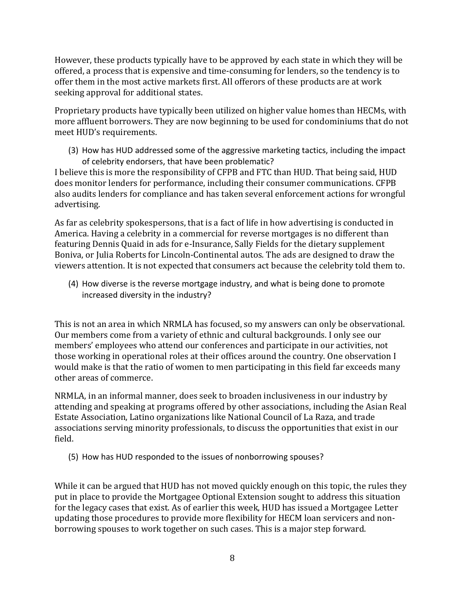However, these products typically have to be approved by each state in which they will be offered, a process that is expensive and time-consuming for lenders, so the tendency is to offer them in the most active markets first. All offerors of these products are at work seeking approval for additional states.

Proprietary products have typically been utilized on higher value homes than HECMs, with more affluent borrowers. They are now beginning to be used for condominiums that do not meet HUD's requirements.

(3) How has HUD addressed some of the aggressive marketing tactics, including the impact of celebrity endorsers, that have been problematic?

I believe this is more the responsibility of CFPB and FTC than HUD. That being said, HUD does monitor lenders for performance, including their consumer communications. CFPB also audits lenders for compliance and has taken several enforcement actions for wrongful advertising.

As far as celebrity spokespersons, that is a fact of life in how advertising is conducted in America. Having a celebrity in a commercial for reverse mortgages is no different than featuring Dennis Quaid in ads for e-Insurance, Sally Fields for the dietary supplement Boniva, or Julia Roberts for Lincoln-Continental autos. The ads are designed to draw the viewers attention. It is not expected that consumers act because the celebrity told them to.

(4) How diverse is the reverse mortgage industry, and what is being done to promote increased diversity in the industry?

This is not an area in which NRMLA has focused, so my answers can only be observational. Our members come from a variety of ethnic and cultural backgrounds. I only see our members' employees who attend our conferences and participate in our activities, not those working in operational roles at their offices around the country. One observation I would make is that the ratio of women to men participating in this field far exceeds many other areas of commerce.

NRMLA, in an informal manner, does seek to broaden inclusiveness in our industry by attending and speaking at programs offered by other associations, including the Asian Real Estate Association, Latino organizations like National Council of La Raza, and trade associations serving minority professionals, to discuss the opportunities that exist in our field.

(5) How has HUD responded to the issues of nonborrowing spouses?

While it can be argued that HUD has not moved quickly enough on this topic, the rules they put in place to provide the Mortgagee Optional Extension sought to address this situation for the legacy cases that exist. As of earlier this week, HUD has issued a Mortgagee Letter updating those procedures to provide more flexibility for HECM loan servicers and nonborrowing spouses to work together on such cases. This is a major step forward.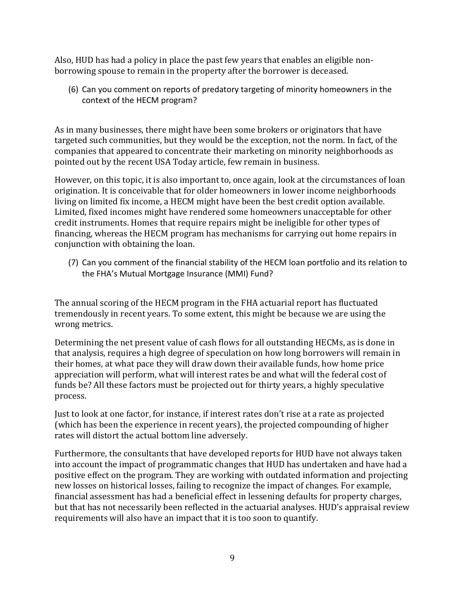Also, HUD has had a policy in place the past few years that enables an eligible nonborrowing spouse to remain in the property after the borrower is deceased.

(6) Can you comment on reports of predatory targeting of minority homeowners in the context of the HECM program?

As in many businesses, there might have been some brokers or originators that have targeted such communities, but they would be the exception, not the norm. In fact, of the companies that appeared to concentrate their marketing on minority neighborhoods as pointed out by the recent USA Today article, few remain in business.

However, on this topic, it is also important to, once again, look at the circumstances of loan origination. It is conceivable that for older homeowners in lower income neighborhoods living on limited fix income, a HECM might have been the best credit option available. Limited, fixed incomes might have rendered some homeowners unacceptable for other credit instruments. Homes that require repairs might be ineligible for other types of financing, whereas the HECM program has mechanisms for carrying out home repairs in conjunction with obtaining the loan.

(7) Can you comment of the financial stability of the HECM loan portfolio and its relation to the FHA's Mutual Mortgage Insurance (MMI) Fund?

The annual scoring of the HECM program in the FHA actuarial report has fluctuated tremendously in recent years. To some extent, this might be because we are using the wrong metrics.

Determining the net present value of cash flows for all outstanding HECMs, as is done in that analysis, requires a high degree of speculation on how long borrowers will remain in their homes, at what pace they will draw down their available funds, how home price appreciation will perform, what will interest rates be and what will the federal cost of funds be? All these factors must be projected out for thirty years, a highly speculative process.

Just to look at one factor, for instance, if interest rates don't rise at a rate as projected (which has been the experience in recent years), the projected compounding of higher rates will distort the actual bottom line adversely.

Furthermore, the consultants that have developed reports for HUD have not always taken into account the impact of programmatic changes that HUD has undertaken and have had a positive effect on the program. They are working with outdated information and projecting new losses on historical losses, failing to recognize the impact of changes. For example, financial assessment has had a beneficial effect in lessening defaults for property charges, but that has not necessarily been reflected in the actuarial analyses. HUD's appraisal review requirements will also have an impact that it is too soon to quantify.